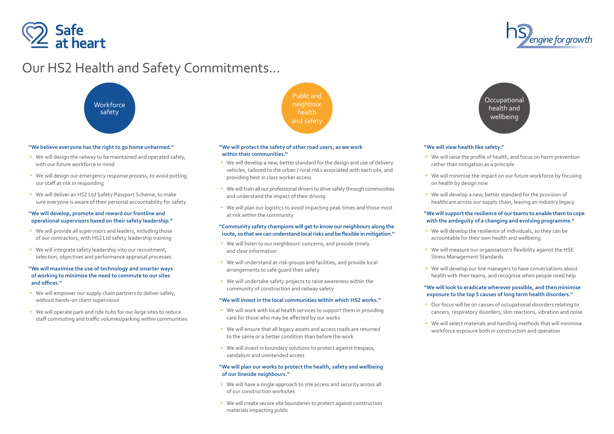

### **"We will protect the safety of other road users, as we work within their communities."**

- We will develop a new, better standard for the design and use of delivery vehicles, tailored to the urban / rural risks associated with each site, and providing best in class worker access
- We will train all our professional drivers to drive safely through communities and understand the impact of their driving
- We will plan our logistics to avoid impacting peak times and those most at risk within the community

- We will listen to our neighbours' concerns, and provide timely and clear information
- We will understand at-risk groups and facilities, and provide local arrangements to safe guard their safety
- We will undertake safety projects to raise awareness within the community of construction and railway safety

### **"Community safety champions will get to know our neighbours along the route, so that we can understand local risks and be flexible in mitigation."**

- We will work with local health services to support them in providing care for those who may be affected by our works
- We will ensure that all legacy assets and access roads are returned to the same or a better condition than before the work
- We will invest in boundary solutions to protect against trespass, vandalism and unintended access

- We will have a single approach to site access and security across all of our construction worksites
- We will create secure site boundaries to protect against construction materials impacting public

#### **"We will invest in the local communities within which HS2 works."**

- We will design the railway to be maintained and operated safely, with our future workforce in mind
- We will design our emergency response process, to avoid putting our staff at risk in responding
- We will deliver an HS2 Ltd Safety Passport Scheme, to make sure everyone is aware of their personal accountability for safety

- We will provide all supervisors and leaders, including those of our contractors, with HS2 Ltd safety leadership training
- We will integrate safety leadership into our recruitment, selection, objectives and performance appraisal processes

- We will empower our supply chain partners to deliver safely, without hands-on client supervision
- We will operate park and ride hubs for our large sites to reduce staff commuting and traffic volumes/parking within communities

### **"We will plan our works to protect the health, safety and wellbeing of our lineside neighbours."**

**Occupational** health and wellbeing

Public and neighbour health and safety



# Our HS2 Health and Safety Commitments…

### **"We believe everyone has the right to go home unharmed."**

- We will raise the profile of health, and focus on harm prevention rather than mitigation as a principle
- We will minimise the impact on our future workforce by focusing
- We will develop a new, better standard for the provision of healthcare across our supply chain, leaving an industry legacy
- We will develop the resilience of individuals, so they can be accountable for their own health and wellbeing
- We will measure our organisation's flexibility against the HSE Stress Management Standards
- We will develop our line managers to have conversations about health with their teams, and recognise when people need help
- Our focus will be on causes of occupational disorders relating to cancers, respiratory disorders, skin reactions, vibration and noise
- 
- We will select materials and handling methods that will minimise workforce exposure both in construction and operation



### **"We will develop, promote and reward our frontline and operational supervisors based on their safety leadership."**

## **"We will maximise the use of technology and smarter ways of working to minimise the need to commute to our sites and offices."**

### **"We will view health like safety."**

- 
- on health by design now
- 

### **"We will support the resilience of our teams to enable them to cope with the ambiguity of a changing and evolving programme."**

- 
- 
- 

### **"We will look to eradicate wherever possible, and then minimise exposure to the top 5 causes of long term health disorders."**